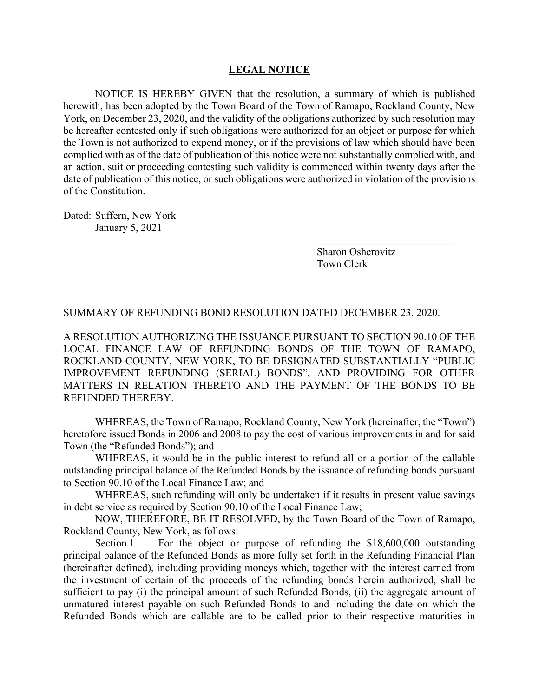## **LEGAL NOTICE**

NOTICE IS HEREBY GIVEN that the resolution, a summary of which is published herewith, has been adopted by the Town Board of the Town of Ramapo, Rockland County, New York, on December 23, 2020, and the validity of the obligations authorized by such resolution may be hereafter contested only if such obligations were authorized for an object or purpose for which the Town is not authorized to expend money, or if the provisions of law which should have been complied with as of the date of publication of this notice were not substantially complied with, and an action, suit or proceeding contesting such validity is commenced within twenty days after the date of publication of this notice, or such obligations were authorized in violation of the provisions of the Constitution.

Dated: Suffern, New York January 5, 2021

> Sharon Osherovitz Town Clerk

\_\_\_\_\_\_\_\_\_\_\_\_\_\_\_\_\_\_\_\_\_\_\_\_\_\_

SUMMARY OF REFUNDING BOND RESOLUTION DATED DECEMBER 23, 2020.

A RESOLUTION AUTHORIZING THE ISSUANCE PURSUANT TO SECTION 90.10 OF THE LOCAL FINANCE LAW OF REFUNDING BONDS OF THE TOWN OF RAMAPO, ROCKLAND COUNTY, NEW YORK, TO BE DESIGNATED SUBSTANTIALLY "PUBLIC IMPROVEMENT REFUNDING (SERIAL) BONDS", AND PROVIDING FOR OTHER MATTERS IN RELATION THERETO AND THE PAYMENT OF THE BONDS TO BE REFUNDED THEREBY.

WHEREAS, the Town of Ramapo, Rockland County, New York (hereinafter, the "Town") heretofore issued Bonds in 2006 and 2008 to pay the cost of various improvements in and for said Town (the "Refunded Bonds"); and

WHEREAS, it would be in the public interest to refund all or a portion of the callable outstanding principal balance of the Refunded Bonds by the issuance of refunding bonds pursuant to Section 90.10 of the Local Finance Law; and

WHEREAS, such refunding will only be undertaken if it results in present value savings in debt service as required by Section 90.10 of the Local Finance Law;

NOW, THEREFORE, BE IT RESOLVED, by the Town Board of the Town of Ramapo, Rockland County, New York, as follows:

Section 1. For the object or purpose of refunding the \$18,600,000 outstanding principal balance of the Refunded Bonds as more fully set forth in the Refunding Financial Plan (hereinafter defined), including providing moneys which, together with the interest earned from the investment of certain of the proceeds of the refunding bonds herein authorized, shall be sufficient to pay (i) the principal amount of such Refunded Bonds, (ii) the aggregate amount of unmatured interest payable on such Refunded Bonds to and including the date on which the Refunded Bonds which are callable are to be called prior to their respective maturities in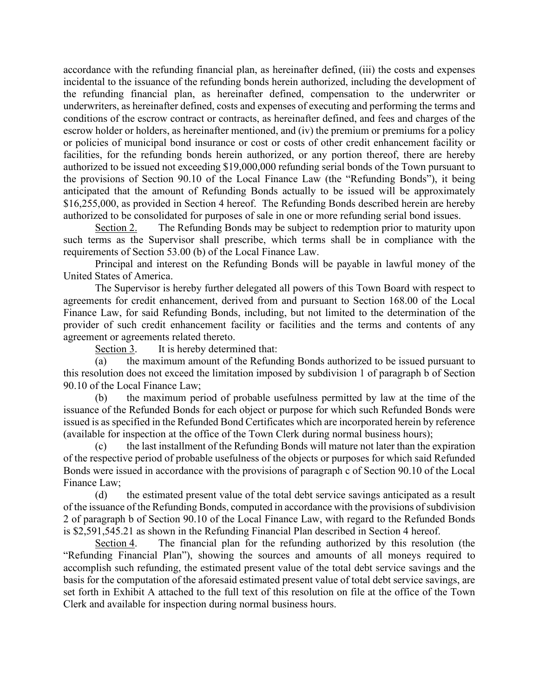accordance with the refunding financial plan, as hereinafter defined, (iii) the costs and expenses incidental to the issuance of the refunding bonds herein authorized, including the development of the refunding financial plan, as hereinafter defined, compensation to the underwriter or underwriters, as hereinafter defined, costs and expenses of executing and performing the terms and conditions of the escrow contract or contracts, as hereinafter defined, and fees and charges of the escrow holder or holders, as hereinafter mentioned, and (iv) the premium or premiums for a policy or policies of municipal bond insurance or cost or costs of other credit enhancement facility or facilities, for the refunding bonds herein authorized, or any portion thereof, there are hereby authorized to be issued not exceeding \$19,000,000 refunding serial bonds of the Town pursuant to the provisions of Section 90.10 of the Local Finance Law (the "Refunding Bonds"), it being anticipated that the amount of Refunding Bonds actually to be issued will be approximately \$16,255,000, as provided in Section 4 hereof. The Refunding Bonds described herein are hereby authorized to be consolidated for purposes of sale in one or more refunding serial bond issues.

Section 2. The Refunding Bonds may be subject to redemption prior to maturity upon such terms as the Supervisor shall prescribe, which terms shall be in compliance with the requirements of Section 53.00 (b) of the Local Finance Law.

Principal and interest on the Refunding Bonds will be payable in lawful money of the United States of America.

The Supervisor is hereby further delegated all powers of this Town Board with respect to agreements for credit enhancement, derived from and pursuant to Section 168.00 of the Local Finance Law, for said Refunding Bonds, including, but not limited to the determination of the provider of such credit enhancement facility or facilities and the terms and contents of any agreement or agreements related thereto.

Section 3. It is hereby determined that:

(a) the maximum amount of the Refunding Bonds authorized to be issued pursuant to this resolution does not exceed the limitation imposed by subdivision 1 of paragraph b of Section 90.10 of the Local Finance Law;

(b) the maximum period of probable usefulness permitted by law at the time of the issuance of the Refunded Bonds for each object or purpose for which such Refunded Bonds were issued is as specified in the Refunded Bond Certificates which are incorporated herein by reference (available for inspection at the office of the Town Clerk during normal business hours);

(c) the last installment of the Refunding Bonds will mature not later than the expiration of the respective period of probable usefulness of the objects or purposes for which said Refunded Bonds were issued in accordance with the provisions of paragraph c of Section 90.10 of the Local Finance Law;

(d) the estimated present value of the total debt service savings anticipated as a result of the issuance of the Refunding Bonds, computed in accordance with the provisions of subdivision 2 of paragraph b of Section 90.10 of the Local Finance Law, with regard to the Refunded Bonds is \$2,591,545.21 as shown in the Refunding Financial Plan described in Section 4 hereof.

Section 4. The financial plan for the refunding authorized by this resolution (the "Refunding Financial Plan"), showing the sources and amounts of all moneys required to accomplish such refunding, the estimated present value of the total debt service savings and the basis for the computation of the aforesaid estimated present value of total debt service savings, are set forth in Exhibit A attached to the full text of this resolution on file at the office of the Town Clerk and available for inspection during normal business hours.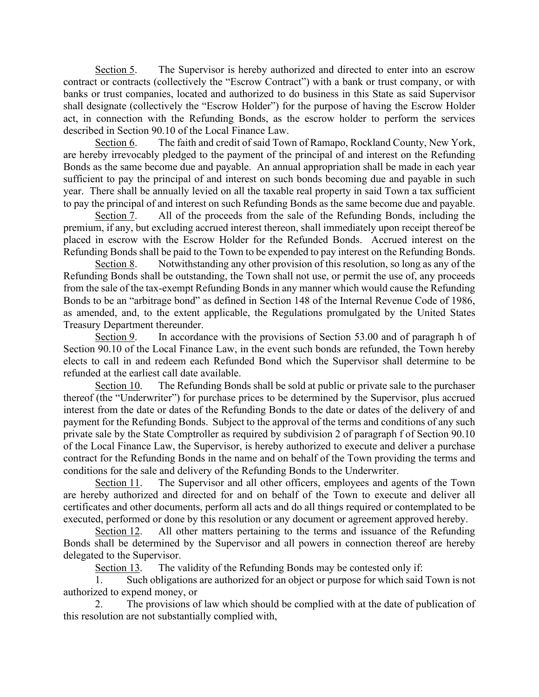Section 5. The Supervisor is hereby authorized and directed to enter into an escrow contract or contracts (collectively the "Escrow Contract") with a bank or trust company, or with banks or trust companies, located and authorized to do business in this State as said Supervisor shall designate (collectively the "Escrow Holder") for the purpose of having the Escrow Holder act, in connection with the Refunding Bonds, as the escrow holder to perform the services described in Section 90.10 of the Local Finance Law.

Section 6. The faith and credit of said Town of Ramapo, Rockland County, New York, are hereby irrevocably pledged to the payment of the principal of and interest on the Refunding Bonds as the same become due and payable. An annual appropriation shall be made in each year sufficient to pay the principal of and interest on such bonds becoming due and payable in such year. There shall be annually levied on all the taxable real property in said Town a tax sufficient to pay the principal of and interest on such Refunding Bonds as the same become due and payable.

Section 7. All of the proceeds from the sale of the Refunding Bonds, including the premium, if any, but excluding accrued interest thereon, shall immediately upon receipt thereof be placed in escrow with the Escrow Holder for the Refunded Bonds. Accrued interest on the Refunding Bonds shall be paid to the Town to be expended to pay interest on the Refunding Bonds.

Section 8. Notwithstanding any other provision of this resolution, so long as any of the Refunding Bonds shall be outstanding, the Town shall not use, or permit the use of, any proceeds from the sale of the tax-exempt Refunding Bonds in any manner which would cause the Refunding Bonds to be an "arbitrage bond" as defined in Section 148 of the Internal Revenue Code of 1986, as amended, and, to the extent applicable, the Regulations promulgated by the United States Treasury Department thereunder.

Section 9. In accordance with the provisions of Section 53.00 and of paragraph h of Section 90.10 of the Local Finance Law, in the event such bonds are refunded, the Town hereby elects to call in and redeem each Refunded Bond which the Supervisor shall determine to be refunded at the earliest call date available.

Section 10. The Refunding Bonds shall be sold at public or private sale to the purchaser thereof (the "Underwriter") for purchase prices to be determined by the Supervisor, plus accrued interest from the date or dates of the Refunding Bonds to the date or dates of the delivery of and payment for the Refunding Bonds. Subject to the approval of the terms and conditions of any such private sale by the State Comptroller as required by subdivision 2 of paragraph f of Section 90.10 of the Local Finance Law, the Supervisor, is hereby authorized to execute and deliver a purchase contract for the Refunding Bonds in the name and on behalf of the Town providing the terms and conditions for the sale and delivery of the Refunding Bonds to the Underwriter.

Section 11. The Supervisor and all other officers, employees and agents of the Town are hereby authorized and directed for and on behalf of the Town to execute and deliver all certificates and other documents, perform all acts and do all things required or contemplated to be executed, performed or done by this resolution or any document or agreement approved hereby.

Section 12. All other matters pertaining to the terms and issuance of the Refunding Bonds shall be determined by the Supervisor and all powers in connection thereof are hereby delegated to the Supervisor.

Section 13. The validity of the Refunding Bonds may be contested only if:

1. Such obligations are authorized for an object or purpose for which said Town is not authorized to expend money, or

2. The provisions of law which should be complied with at the date of publication of this resolution are not substantially complied with,